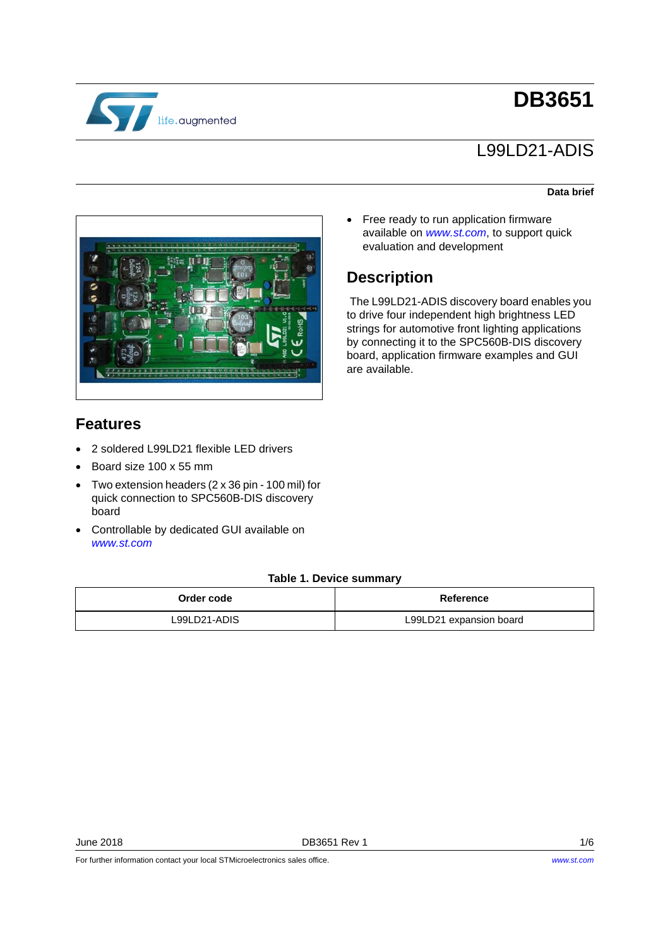

# **DB3651**

# L99LD21-ADIS

#### **Data brief**



• Free ready to run application firmware available on *www.st.com*, to support quick evaluation and development

## **Description**

The L99LD21-ADIS discovery board enables you to drive four independent high brightness LED strings for automotive front lighting applications by connecting it to the SPC560B-DIS discovery board, application firmware examples and GUI are available.

## **Features**

- 2 soldered L99LD21 flexible LED drivers
- Board size 100 x 55 mm
- Two extension headers (2 x 36 pin 100 mil) for quick connection to SPC560B-DIS discovery board
- Controllable by dedicated GUI available on *www.st.com*

#### **Table 1. Device summary**

| Order code   | Reference               |  |  |
|--------------|-------------------------|--|--|
| L99LD21-ADIS | L99LD21 expansion board |  |  |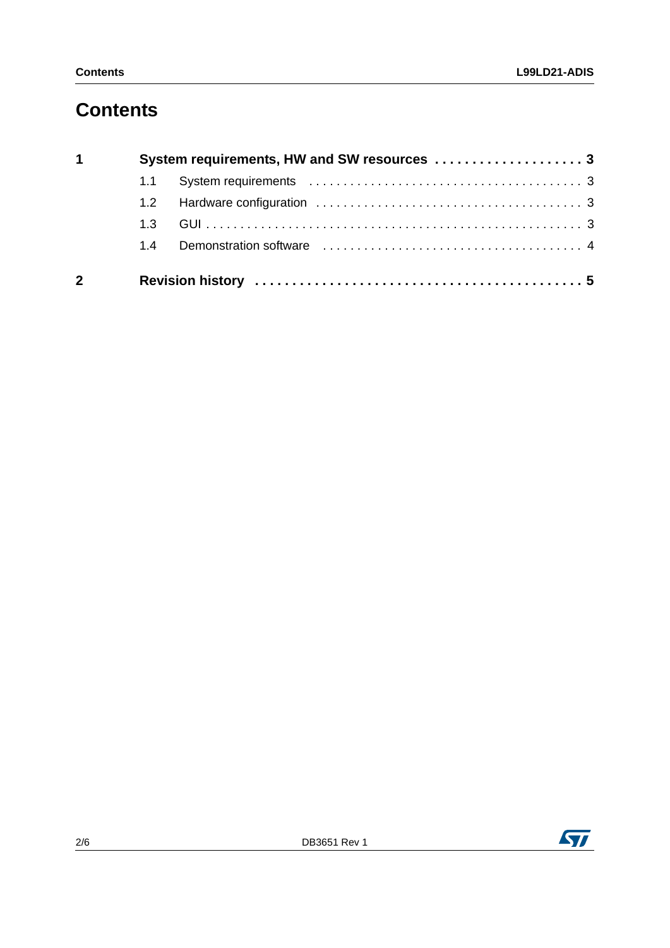# **Contents**

| $\mathbf 1$    |     |  |  |  |  |  |  |  |
|----------------|-----|--|--|--|--|--|--|--|
|                |     |  |  |  |  |  |  |  |
|                | 1.2 |  |  |  |  |  |  |  |
|                | 1.3 |  |  |  |  |  |  |  |
|                | 1.4 |  |  |  |  |  |  |  |
| $\overline{2}$ |     |  |  |  |  |  |  |  |

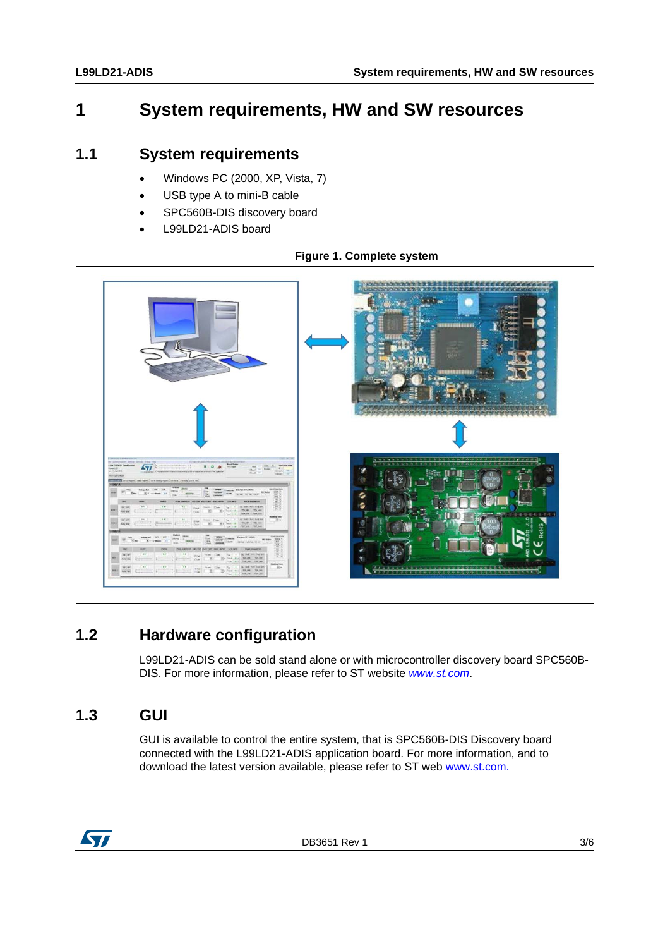## <span id="page-2-0"></span>**1 System requirements, HW and SW resources**

### <span id="page-2-1"></span>**1.1 System requirements**

- Windows PC (2000, XP, Vista, 7)
- USB type A to mini-B cable
- SPC560B-DIS discovery board
- L99LD21-ADIS board



### **Figure 1. Complete system**

## <span id="page-2-2"></span>**1.2 Hardware configuration**

L99LD21-ADIS can be sold stand alone or with microcontroller discovery board SPC560B-DIS. For more information, please refer to ST website *www.st.com*.

## <span id="page-2-3"></span>**1.3 GUI**

GUI is available to control the entire system, that is SPC560B-DIS Discovery board connected with the L99LD21-ADIS application board. For more information, and to download the latest version available, please refer to ST web www.st.com.



DB3651 Rev 1 3/6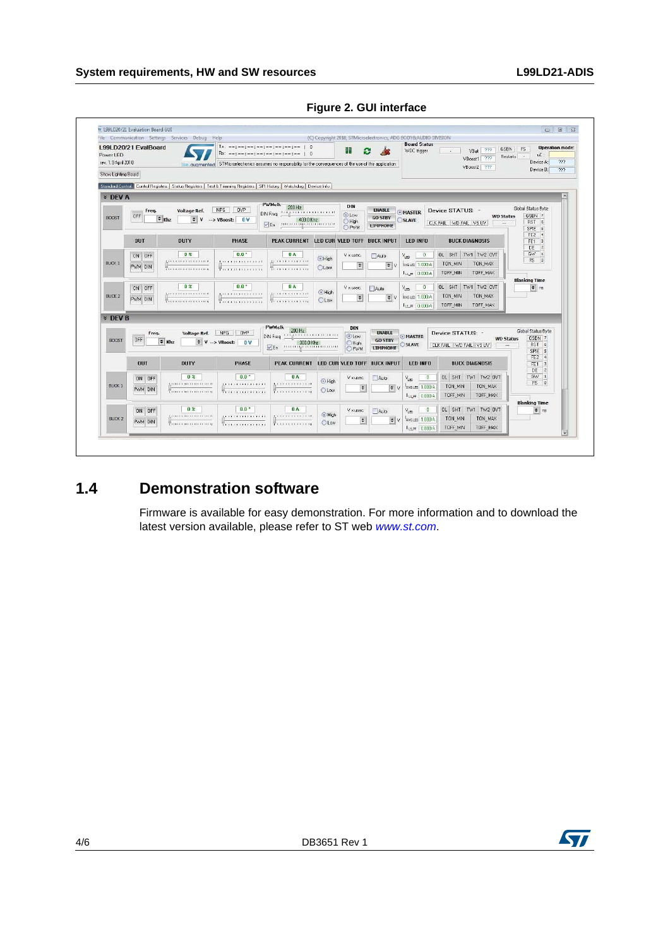|                                   |                | File Communication Settings Services Debug Help                                                                          |                                                                                                                 |                                                   |                              |                      |                                   | (C) Copyright 2018, STMicroelectronics, ADG BODY&AUDIO DIVISION |                                      |                                                       |
|-----------------------------------|----------------|--------------------------------------------------------------------------------------------------------------------------|-----------------------------------------------------------------------------------------------------------------|---------------------------------------------------|------------------------------|----------------------|-----------------------------------|-----------------------------------------------------------------|--------------------------------------|-------------------------------------------------------|
| L99LD20/21 EvalBoard<br>Power LED |                |                                                                                                                          | $Tx: -m1 = -1 - m1 = -1 - m1 = -1 - m1 = -$<br>$\circ$<br>$Rx: ---; ---;$                                       |                                                   |                              | o                    |                                   | <b>Board Status</b><br>WDC trigger                              | VBat 777<br>$\sim$<br>727<br>VBoost1 | <b>Operation mode:</b><br>GSBN FS<br>uC:<br>Restats . |
| rev. 1.9 April 2018               |                |                                                                                                                          | life, quamented STMicroelectronics assumes no responsbility for the consequences of the use of this application |                                                   |                              |                      |                                   |                                                                 | VBoost2 ???                          | 222<br>Device A:                                      |
| Show Lighting Board               |                |                                                                                                                          |                                                                                                                 |                                                   |                              |                      |                                   |                                                                 |                                      | Device B:<br>777                                      |
|                                   |                | Standard Control Control Registers   Status Registers   Test & Trimming Registers   SFI History   Watchdog   Device Info |                                                                                                                 |                                                   |                              |                      |                                   |                                                                 |                                      |                                                       |
| <b>* DEV A</b>                    |                |                                                                                                                          |                                                                                                                 |                                                   |                              |                      |                                   |                                                                 |                                      |                                                       |
|                                   |                |                                                                                                                          |                                                                                                                 | <b>PWMck</b><br>200 Hz                            |                              | DIN                  |                                   |                                                                 |                                      |                                                       |
|                                   | Freq.<br>OFF   | Voltage Ref.                                                                                                             | NPG OVP                                                                                                         | <b></b><br>DIN Freq                               |                              | <b>OLow</b>          | <b>ENABLE</b>                     | MASTER                                                          | Device STATUS: -                     | Global Status Evte<br>GSBN 7<br><b>WD Status</b>      |
| <b>BOOST</b>                      |                | $\approx$ Khz<br>$\div$ V                                                                                                | $\rightarrow$ VBoost: $0V$                                                                                      | 400.0 Khz<br><b></b><br>$V$ En                    |                              | <b>O</b> High        | <b>GO STBY</b><br><b>LIMPHOME</b> | OSLAVE                                                          | CLK FAIL WD FAIL VS UV               | RST 6<br>$\overline{\phantom{a}}$                     |
|                                   |                |                                                                                                                          |                                                                                                                 |                                                   |                              | OPWM                 |                                   |                                                                 |                                      | SPIE 5<br>FE <sub>2</sub><br>$\vert$                  |
|                                   | <b>DUT</b>     | <b>DUTY</b>                                                                                                              | <b>PHASE</b>                                                                                                    | PEAK CURRENT LED CUR VLED TOFF BUCK INPUT         |                              |                      |                                   | <b>LED INFO</b>                                                 | <b>BUCK DIAGNOSIS</b>                | FE1<br> 3                                             |
|                                   | <b>ON OFF</b>  | 0 <sup>2</sup>                                                                                                           | $0.0*$                                                                                                          | 0A                                                |                              | V x usec.            | Aulo                              | $\circ$<br>V <sub>im</sub>                                      | OL SHT TW1 TW2 OVT                   | DE<br> 2 <br>GW<br>$\vert x \vert$                    |
| <b>BUCK 1</b>                     |                | <b><i>BEERIE EXPERIENCES</i></b>                                                                                         | <b>EXECUTIVE</b>                                                                                                | <b><i><u>It is is is in the final</u></i></b>     | <b></b> High                 |                      | $\Rightarrow$ V                   | AVG LED 1.000 A                                                 | TON MAX<br>TON MIN                   | FS<br>$\vert$                                         |
|                                   | PWM DIN        | <b>THE REFERENCE CORP.</b>                                                                                               | <b>T.L.L.L.L.L.L.L.L.</b>                                                                                       | TO FEMALE PERSONAL                                | <b>OLow</b>                  | $\ddot{\phantom{1}}$ |                                   | LLPF 0.000 A                                                    | TOFF MIN<br>TOFF MAX                 |                                                       |
|                                   |                |                                                                                                                          |                                                                                                                 |                                                   |                              |                      |                                   |                                                                 |                                      | <b>Blanking Time</b>                                  |
|                                   | ON OFF         | 0 <sup>2</sup>                                                                                                           | $0.0$ <sup>*</sup>                                                                                              | <b>OA</b>                                         | High                         | V x usec.            | Auto                              | $\mathbf{0}$<br>V <sub>LED</sub>                                | OL SHT TW1 TW2 OVT                   | $=$ $\frac{1}{2}$                                     |
| <b>BUCK 2</b>                     | PWM DIN        | <b></b><br>.                                                                                                             | .<br>.                                                                                                          | <b>Le Karana and San Ad</b><br><b>Transaction</b> | <b>OLow</b>                  | $\blacksquare$       | $\Rightarrow$ V                   | AVG LED 1.000 A                                                 | TON_MIN<br>TON_MAX                   |                                                       |
|                                   |                |                                                                                                                          |                                                                                                                 |                                                   |                              |                      |                                   | L1 PF 0.000 A                                                   | TOFF_MAX<br><b>TOFF MIN</b>          |                                                       |
| <b>* DEV B</b>                    |                |                                                                                                                          |                                                                                                                 |                                                   |                              |                      |                                   |                                                                 |                                      |                                                       |
|                                   |                |                                                                                                                          |                                                                                                                 | <b>PWMclk</b><br>200 Hz                           |                              | DIN                  |                                   |                                                                 |                                      |                                                       |
|                                   | Freq.<br>DFF   | <b>Voltage Ref.</b>                                                                                                      | NPG OVP                                                                                                         | . <u>.</u><br>DIN Freq                            |                              | O Low                | <b>ENABLE</b><br><b>GO STBY</b>   | <b>MASTER</b>                                                   | Device STATUS: -                     | Global Status Byte<br>GSBN 7<br><b>WD Status</b>      |
| <b>BODST</b>                      |                | $\approx$ Khz                                                                                                            | $\bullet$ V $\rightarrow$ VBoost:<br>0V                                                                         | 300.0 Khz<br>VEn                                  |                              | C High<br>OPWM       | <b>LIMPHOME</b>                   | SLAVE                                                           | CLK FAIL WD FAIL VS UV               | RST 6<br>$\cdots$                                     |
|                                   |                |                                                                                                                          |                                                                                                                 |                                                   |                              |                      |                                   |                                                                 |                                      | SPIE 5<br>FE2 4                                       |
|                                   | 0 <sup>U</sup> | <b>DUTY</b>                                                                                                              | <b>PHASE</b>                                                                                                    | <b>PEAK CURRENT</b>                               | <b>LED CUR VLED TOFF</b>     |                      | <b>BUCK INPUT</b>                 | LED INFO                                                        | <b>BUCK DIAGNOSIS</b>                | FE1 3                                                 |
|                                   |                | 0 <sup>2</sup>                                                                                                           | $0.0$ .                                                                                                         | 0A                                                |                              | V xusec.             | Auto                              | $\Box$                                                          | OL SHT TW1 TW2 OVT                   | DE<br>$\vert$ <sub>2</sub><br>GW <sub>1</sub>         |
| <b>BUCK 1</b>                     | ON OFF         | <u>1,</u>                                                                                                                | <b></b>                                                                                                         | <b>LEASTRIAN LITTLE</b>                           | <b>O</b> High                |                      |                                   | V <sub>іяп</sub><br>AVG LED 1.000 A                             | TON MIN<br>TON MAX                   | FS 0                                                  |
|                                   | PWM DIN        | <b>THEFT EXPERIENCE</b>                                                                                                  | <del>.</del>                                                                                                    | <del>.</del>                                      | <b>OLow</b>                  | $\ddot{\bullet}$     | $ \bullet $ V                     | L1.99 0.000 A                                                   | TOFF_MIN<br>TOFF MAX                 |                                                       |
|                                   |                |                                                                                                                          |                                                                                                                 |                                                   |                              |                      |                                   |                                                                 |                                      | <b>Blanking Time</b>                                  |
|                                   | ON OFF         | 0.2                                                                                                                      | $0.0$ <sup>*</sup>                                                                                              | 0A                                                |                              | V x usec.            | Auto                              | $\theta$<br>$V_{\text{ten}}$                                    | OL SHT TW1 TW2 OVT                   | $\Rightarrow$ ns                                      |
| <b>BUCK 2</b>                     | PWM DIN        |                                                                                                                          |                                                                                                                 | .                                                 | <b>O</b> High<br><b>OLow</b> | $\div$               | $\Rightarrow$ V                   | AVG LED 1.000 A                                                 | TON MIN<br>TON MAX                   |                                                       |
|                                   |                | TREFFERED EXECUTIVES                                                                                                     | <b>TELESSION STATISTICS</b>                                                                                     | The contractor of                                 |                              |                      |                                   | LLPP 0.000 A                                                    | TOFF_MIN<br>TOFF MAX                 |                                                       |

**Figure 2. GUI interface**

## <span id="page-3-0"></span>**1.4 Demonstration software**

Firmware is available for easy demonstration. For more information and to download the latest version available, please refer to ST web *www.st.com*.

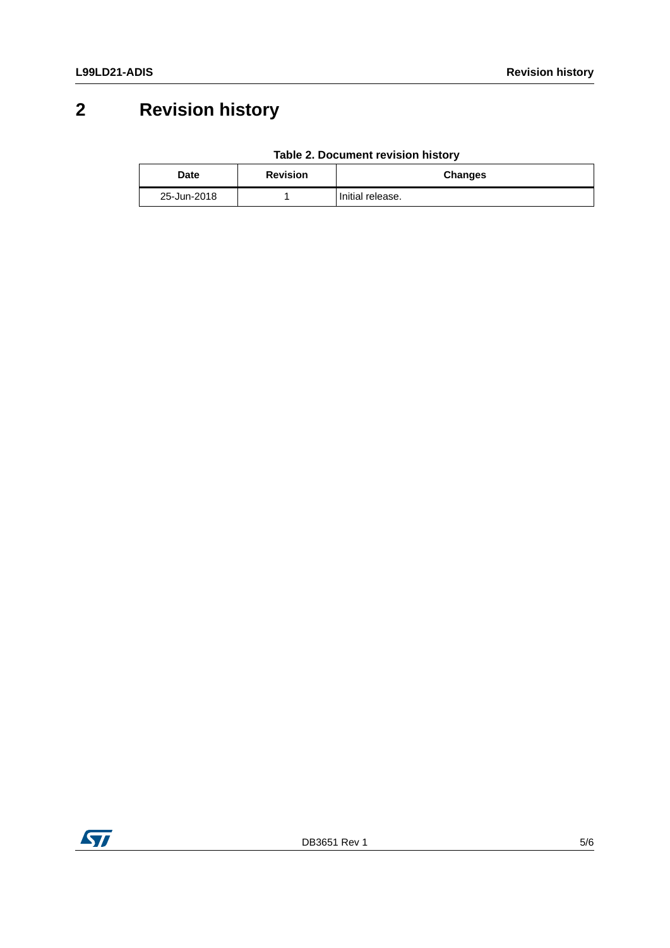# <span id="page-4-0"></span>**2 Revision history**

|  | Table 2. Document revision history |  |  |
|--|------------------------------------|--|--|
|--|------------------------------------|--|--|

| Date        | <b>Revision</b> | <b>Changes</b>   |
|-------------|-----------------|------------------|
| 25-Jun-2018 |                 | Initial release. |